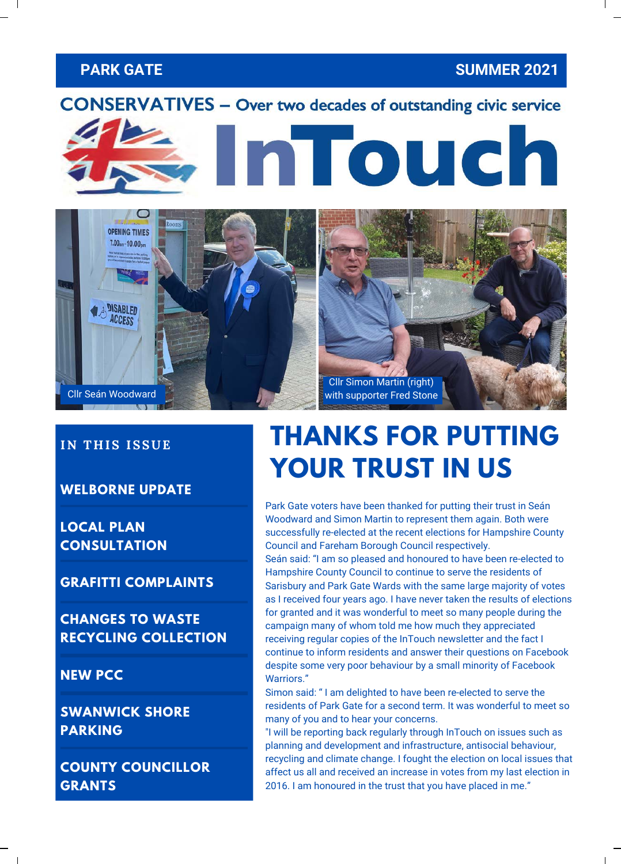### **PARK GATE SUMMER 2021**





#### **IN THIS ISSUE**

**WELBORNE UPDATE**

**LOCAL PLAN CONSULTATION**

**GRAFITTI COMPLAINTS**

**CHANGES TO WASTE RECYCLING COLLECTION**

**NEW PCC**

**SWANWICK SHORE PARKING**

**COUNTY COUNCILLOR GRANTS**

# **THANKS FOR PUTTING YOUR TRUST IN US**

Park Gate voters have been thanked for putting their trust in Seán Woodward and Simon Martin to represent them again. Both were successfully re-elected at the recent elections for Hampshire County Council and Fareham Borough Council respectively.

Seán said: "I am so pleased and honoured to have been re-elected to Hampshire County Council to continue to serve the residents of Sarisbury and Park Gate Wards with the same large majority of votes as I received four years ago. I have never taken the results of elections for granted and it was wonderful to meet so many people during the campaign many of whom told me how much they appreciated receiving regular copies of the InTouch newsletter and the fact I continue to inform residents and answer their questions on Facebook despite some very poor behaviour by a small minority of Facebook Warriors."

Simon said: " I am delighted to have been re-elected to serve the residents of Park Gate for a second term. It was wonderful to meet so many of you and to hear your concerns.

"I will be reporting back regularly through InTouch on issues such as planning and development and infrastructure, antisocial behaviour, recycling and climate change. I fought the election on local issues that affect us all and received an increase in votes from my last election in 2016. I am honoured in the trust that you have placed in me."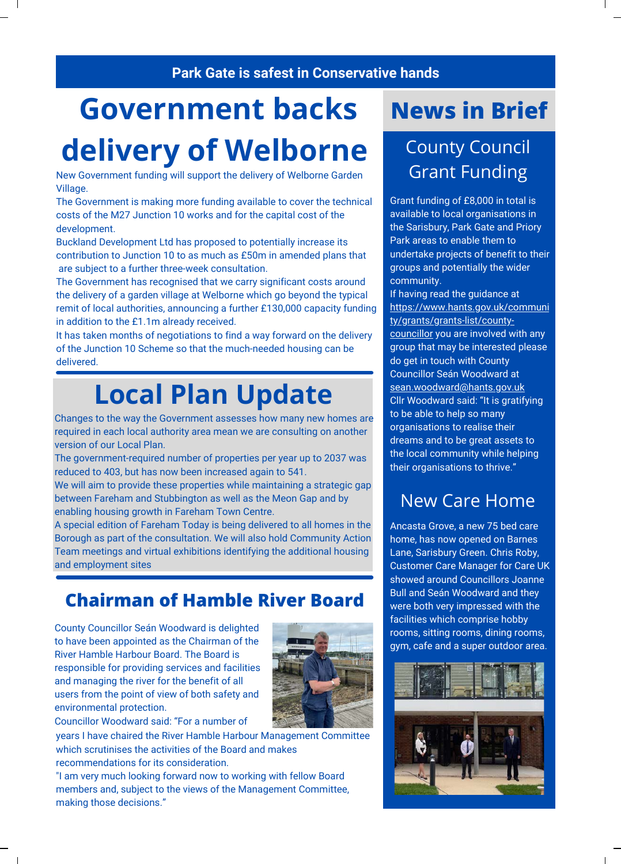#### **Park Gate is safest in Conservative hands**

# **Government backs**

# **delivery of Welborne**

New Government funding will support the delivery of Welborne Garden Village.

The Government is making more funding available to cover the technical costs of the M27 Junction 10 works and for the capital cost of the development.

Buckland Development Ltd has proposed to potentially increase its contribution to Junction 10 to as much as £50m in amended plans that are subject to a further three-week consultation.

The Government has recognised that we carry significant costs around the delivery of a garden village at Welborne which go beyond the typical remit of local authorities, announcing a further £130,000 capacity funding in addition to the £1.1m already received.

It has taken months of negotiations to find a way forward on the delivery of the Junction 10 Scheme so that the much-needed housing can be delivered.

# **Local Plan Update**

Changes to the way the Government assesses how many new homes are required in each local authority area mean we are consulting on another version of our Local Plan.

The government-required number of properties per year up to 2037 was reduced to 403, but has now been increased again to 541.

We will aim to provide these properties while maintaining a strategic gap between Fareham and Stubbington as well as the Meon Gap and by enabling housing growth in Fareham Town Centre.

A special edition of Fareham Today is being delivered to all homes in the Borough as part of the consultation. We will also hold Community Action Team meetings and virtual exhibitions identifying the additional housing and employment sites

## **Chairman of Hamble River Board**

County Councillor Seán Woodward is delighted to have been appointed as the Chairman of the River Hamble Harbour Board. The Board is responsible for providing services and facilities and managing the river for the benefit of all users from the point of view of both safety and environmental protection.



Councillor Woodward said: "For a number of

years I have chaired the River Hamble Harbour Management Committee which scrutinises the activities of the Board and makes recommendations for its consideration.

"I am very much looking forward now to working with fellow Board members and, subject to the views of the Management Committee, making those decisions."

# **News in Brief**

## County Council Grant Funding

Grant funding of £8,000 in total is available to local organisations in the Sarisbury, Park Gate and Priory Park areas to enable them to undertake projects of benefit to their groups and potentially the wider community.

If having read the guidance at [https://www.hants.gov.uk/communi](https://www.hants.gov.uk/community/grants/grants-list/county-councillor) ty/grants/grants-list/countycouncillor you are involved with any group that may be interested please do get in touch with County Councillor Seán Woodward at [sean.woodward@hants.gov.uk](mailto:sean.woodward@hants.gov.uk) Cllr Woodward said: "It is gratifying to be able to help so many organisations to realise their dreams and to be great assets to the local community while helping their organisations to thrive."

## New Care Home

Ancasta Grove, a new 75 bed care home, has now opened on Barnes Lane, Sarisbury Green. Chris Roby, Customer Care Manager for [Care UK](https://www.facebook.com/yourcareuk/?__cft__%5b0%5d=AZV4AH12XNG-fvFrILIzcuN72yokcovjgxZ4_5AqHKNmwBSJCp71RdIXcfSFLeqVMIpdY7YP-B_ElmUQohnruccbGwQbUZByCCBQuMAKEVCkahQrfkmixZbsgCg1gR5uzcSQ0WNVquvpCt289KsdwS_jGAGNDW5IR5YC2LNr7LggzxGBT1OyEpl0CuX5zvDfr2g&__tn__=kK-R) [showed around Councillors Joanne](https://www.facebook.com/joanne.sarisbury/?__cft__%5b0%5d=AZV4AH12XNG-fvFrILIzcuN72yokcovjgxZ4_5AqHKNmwBSJCp71RdIXcfSFLeqVMIpdY7YP-B_ElmUQohnruccbGwQbUZByCCBQuMAKEVCkahQrfkmixZbsgCg1gR5uzcSQ0WNVquvpCt289KsdwS_jGAGNDW5IR5YC2LNr7LggzxGBT1OyEpl0CuX5zvDfr2g&__tn__=kK-R) Bull and Seán Woodward and they were both very impressed with the facilities which comprise hobby rooms, sitting rooms, dining rooms, gym, cafe and a super outdoor area.

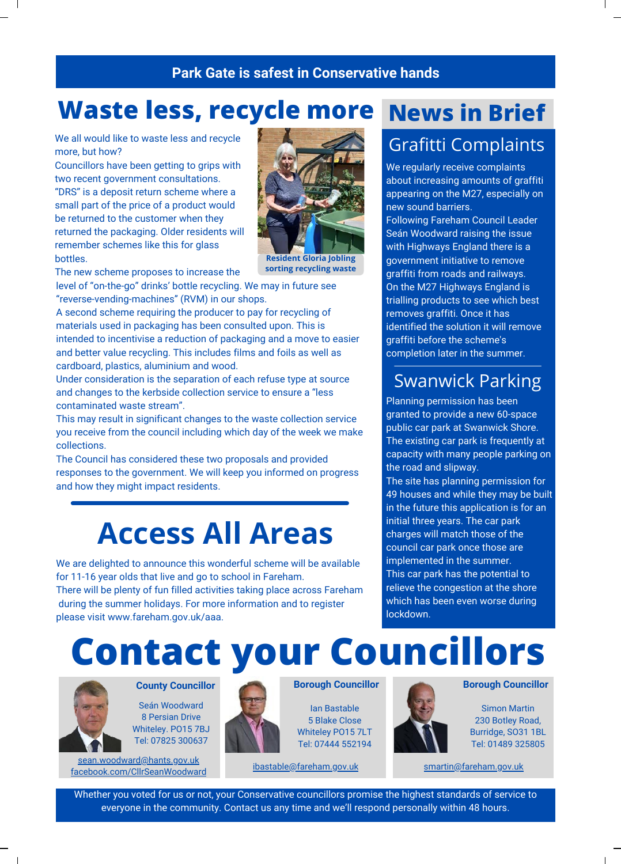### A U G U S T 2 2 , 2 0 1 9 V O L . 2 9 **Park Gate is safest in Conservative hands**

## **Waste less, recycle more News in Brief**

We all would like to waste less and recycle more, but how?

Councillors have been getting to grips with two recent government consultations. "DRS" is a deposit return scheme where a small part of the price of a product would be returned to the customer when they returned the packaging. Older residents will remember schemes like this for glass bottles.



**Resident Gloria Jobling sorting recycling waste**

The new scheme proposes to increase the

level of "on-the-go" drinks' bottle recycling. We may in future see "reverse-vending-machines" (RVM) in our shops.

A second scheme requiring the producer to pay for recycling of materials used in packaging has been consulted upon. This is intended to incentivise a reduction of packaging and a move to easier and better value recycling. This includes films and foils as well as cardboard, plastics, aluminium and wood.

Under consideration is the separation of each refuse type at source and changes to the kerbside collection service to ensure a "less contaminated waste stream".

This may result in significant changes to the waste collection service you receive from the council including which day of the week we make collections.

The Council has considered these two proposals and provided responses to the government. We will keep you informed on progress and how they might impact residents.

# **Access All Areas**

We are delighted to announce this wonderful scheme will be available for 11-16 year olds that live and go to school in Fareham. There will be plenty of fun filled activities taking place across Fareham during the summer holidays. For more information and to register please visit [www.fareham.gov.uk/aaa](http://www.fareham.gov.uk/aaa).

# Grafitti Complaints

We regularly receive complaints about increasing amounts of graffiti appearing on the M27, especially on new sound barriers.

Following Fareham Council Leader Seán Woodward raising the issue with Highways England there is a government initiative to remove graffiti from roads and railways. On the M27 Highways England is trialling products to see which best removes graffiti. Once it has identified the solution it will remove graffiti before the scheme's completion later in the summer.

## Swanwick Parking

Planning permission has been granted to provide a new 60-space public car park at Swanwick Shore. The existing car park is frequently at capacity with many people parking on the road and slipway. The site has planning permission for 49 houses and while they may be built in the future this application is for an initial three years. The car park charges will match those of the council car park once those are implemented in the summer. This car park has the potential to relieve the congestion at the shore which has been even worse during lockdown.

# **Contact your Councillors**



Seán Woodward 8 Persian Drive

Whiteley. PO15 7BJ Tel: 07825 300637

[sean.woodward@hants.gov.uk](mailto:swoodward@fareham.gov.uk) [facebook.com/CllrSeanWoodward](https://www.facebook.com/CllrSeanWoodward)



#### **Borough Councillor**

Ian Bastable 5 Blake Close Whiteley PO15 7LT Tel: 07444 552194



#### **County Councillor <b>Borough Councillor Borough Councillor Borough Councillor**

Simon Martin 230 Botley Road, Burridge, SO31 1BL Tel: 01489 325805

[ibastable@fareham.gov.uk](mailto:ibastable@fareham.gov.uk) [smartin@fareham.gov.uk](mailto:smartin@fareham.gov.uk)

Whether you voted for us or not, your Conservative councillors promise the highest standards of service to everyone in the community. Contact us any time and we'll respond personally within 48 hours.